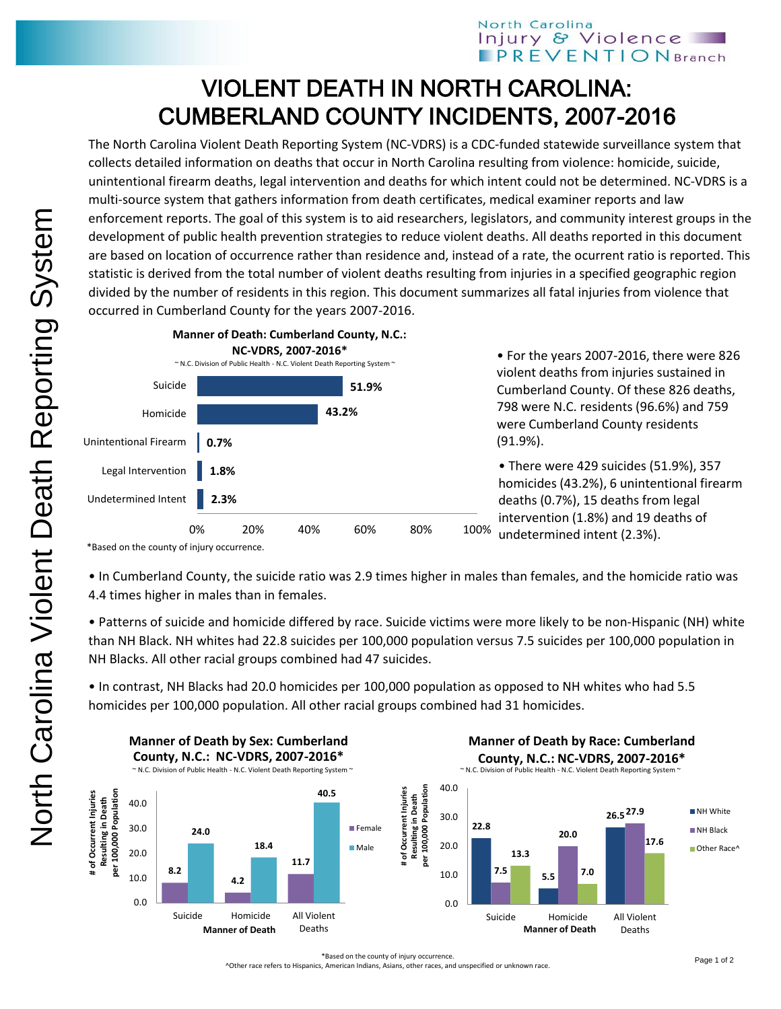## North Carolina Injury & Violence **PREVENTION** Branch

## VIOLENT DEATH IN NORTH CAROLINA: CUMBERLAND COUNTY INCIDENTS, 2007-2016

The North Carolina Violent Death Reporting System (NC-VDRS) is a CDC-funded statewide surveillance system that collects detailed information on deaths that occur in North Carolina resulting from violence: homicide, suicide, unintentional firearm deaths, legal intervention and deaths for which intent could not be determined. NC-VDRS is a multi-source system that gathers information from death certificates, medical examiner reports and law enforcement reports. The goal of this system is to aid researchers, legislators, and community interest groups in the development of public health prevention strategies to reduce violent deaths. All deaths reported in this document are based on location of occurrence rather than residence and, instead of a rate, the ocurrent ratio is reported. This statistic is derived from the total number of violent deaths resulting from injuries in a specified geographic region divided by the number of residents in this region. This document summarizes all fatal injuries from violence that occurred in Cumberland County for the years 2007-2016.



• For the years 2007-2016, there were 826 violent deaths from injuries sustained in Cumberland County. Of these 826 deaths, 798 were N.C. residents (96.6%) and 759 were Cumberland County residents (91.9%).

• There were 429 suicides (51.9%), 357 homicides (43.2%), 6 unintentional firearm deaths (0.7%), 15 deaths from legal intervention (1.8%) and 19 deaths of undetermined intent (2.3%).

• In Cumberland County, the suicide ratio was 2.9 times higher in males than females, and the homicide ratio was 4.4 times higher in males than in females.

• Patterns of suicide and homicide differed by race. Suicide victims were more likely to be non-Hispanic (NH) white than NH Black. NH whites had 22.8 suicides per 100,000 population versus 7.5 suicides per 100,000 population in NH Blacks. All other racial groups combined had 47 suicides.

• In contrast, NH Blacks had 20.0 homicides per 100,000 population as opposed to NH whites who had 5.5 homicides per 100,000 population. All other racial groups combined had 31 homicides.



^Other race refers to Hispanics, American Indians, Asians, other races, and unspecified or unknown race.

<sup>\*</sup>Based on the county of injury occurrence.